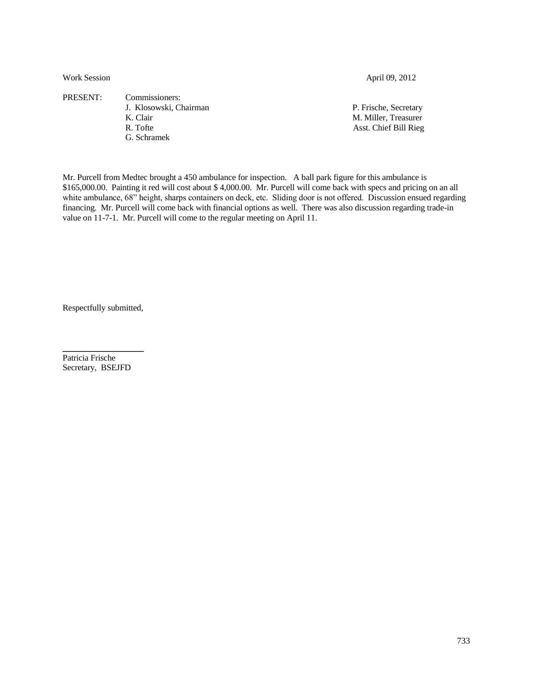Work Session April 09, 2012

PRESENT: Commissioners:

- 
- G. Schramek

J. Klosowski, Chairman P. Frische, Secretary K. Clair M. Miller, Treasurer R. Tofte Asst. Chief Bill Rieg

Mr. Purcell from Medtec brought a 450 ambulance for inspection. A ball park figure for this ambulance is \$165,000.00. Painting it red will cost about \$ 4,000.00. Mr. Purcell will come back with specs and pricing on an all white ambulance, 68" height, sharps containers on deck, etc. Sliding door is not offered. Discussion ensued regarding financing. Mr. Purcell will come back with financial options as well. There was also discussion regarding trade-in value on 11-7-1. Mr. Purcell will come to the regular meeting on April 11.

Respectfully submitted,

 $\mathcal{L}=\mathcal{L}^{\text{max}}$  , where  $\mathcal{L}^{\text{max}}$ 

Patricia Frische Secretary, BSEJFD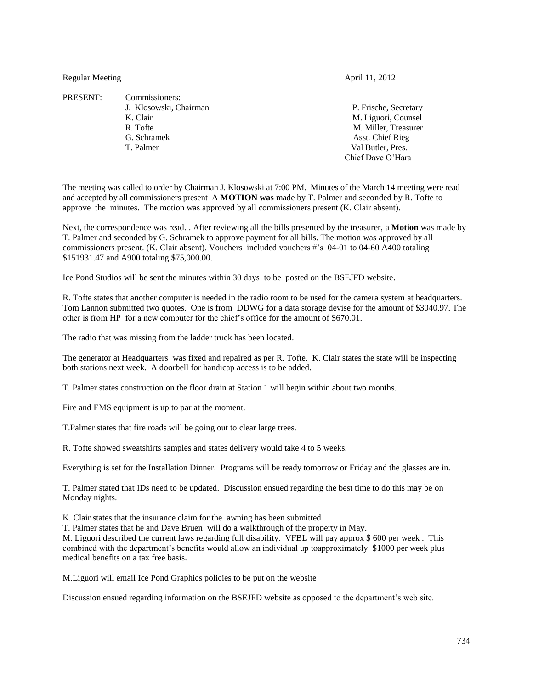Regular Meeting April 11, 2012

PRESENT: Commissioners:

G. Schramek **Asst.** Chief Rieg T. Palmer Val Butler, Pres.

J. Klosowski, Chairman P. Frische, Secretary K. Clair M. Liguori, Counsel R. Tofte M. Miller, Treasurer Chief Dave O'Hara

The meeting was called to order by Chairman J. Klosowski at 7:00 PM. Minutes of the March 14 meeting were read and accepted by all commissioners present A **MOTION was** made by T. Palmer and seconded by R. Tofte to approve the minutes. The motion was approved by all commissioners present (K. Clair absent).

Next, the correspondence was read. . After reviewing all the bills presented by the treasurer, a **Motion** was made by T. Palmer and seconded by G. Schramek to approve payment for all bills. The motion was approved by all commissioners present. (K. Clair absent). Vouchers included vouchers #'s 04-01 to 04-60 A400 totaling \$151931.47 and A900 totaling \$75,000.00.

Ice Pond Studios will be sent the minutes within 30 days to be posted on the BSEJFD website.

R. Tofte states that another computer is needed in the radio room to be used for the camera system at headquarters. Tom Lannon submitted two quotes. One is from DDWG for a data storage devise for the amount of \$3040.97. The other is from HP for a new computer for the chief's office for the amount of \$670.01.

The radio that was missing from the ladder truck has been located.

The generator at Headquarters was fixed and repaired as per R. Tofte. K. Clair states the state will be inspecting both stations next week. A doorbell for handicap access is to be added.

T. Palmer states construction on the floor drain at Station 1 will begin within about two months.

Fire and EMS equipment is up to par at the moment.

T.Palmer states that fire roads will be going out to clear large trees.

R. Tofte showed sweatshirts samples and states delivery would take 4 to 5 weeks.

Everything is set for the Installation Dinner. Programs will be ready tomorrow or Friday and the glasses are in.

T. Palmer stated that IDs need to be updated. Discussion ensued regarding the best time to do this may be on Monday nights.

K. Clair states that the insurance claim for the awning has been submitted

T. Palmer states that he and Dave Bruen will do a walkthrough of the property in May.

M. Liguori described the current laws regarding full disability. VFBL will pay approx \$ 600 per week . This combined with the department's benefits would allow an individual up toapproximately \$1000 per week plus medical benefits on a tax free basis.

M.Liguori will email Ice Pond Graphics policies to be put on the website

Discussion ensued regarding information on the BSEJFD website as opposed to the department's web site.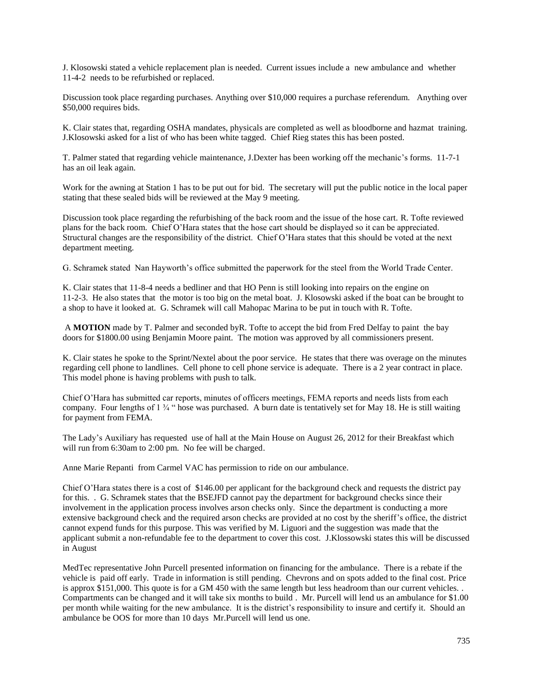J. Klosowski stated a vehicle replacement plan is needed. Current issues include a new ambulance and whether 11-4-2 needs to be refurbished or replaced.

Discussion took place regarding purchases. Anything over \$10,000 requires a purchase referendum. Anything over \$50,000 requires bids.

K. Clair states that, regarding OSHA mandates, physicals are completed as well as bloodborne and hazmat training. J.Klosowski asked for a list of who has been white tagged. Chief Rieg states this has been posted.

T. Palmer stated that regarding vehicle maintenance, J.Dexter has been working off the mechanic's forms. 11-7-1 has an oil leak again.

Work for the awning at Station 1 has to be put out for bid. The secretary will put the public notice in the local paper stating that these sealed bids will be reviewed at the May 9 meeting.

Discussion took place regarding the refurbishing of the back room and the issue of the hose cart. R. Tofte reviewed plans for the back room. Chief O'Hara states that the hose cart should be displayed so it can be appreciated. Structural changes are the responsibility of the district. Chief O'Hara states that this should be voted at the next department meeting.

G. Schramek stated Nan Hayworth's office submitted the paperwork for the steel from the World Trade Center.

K. Clair states that 11-8-4 needs a bedliner and that HO Penn is still looking into repairs on the engine on 11-2-3. He also states that the motor is too big on the metal boat. J. Klosowski asked if the boat can be brought to a shop to have it looked at. G. Schramek will call Mahopac Marina to be put in touch with R. Tofte.

A **MOTION** made by T. Palmer and seconded byR. Tofte to accept the bid from Fred Delfay to paint the bay doors for \$1800.00 using Benjamin Moore paint. The motion was approved by all commissioners present.

K. Clair states he spoke to the Sprint/Nextel about the poor service. He states that there was overage on the minutes regarding cell phone to landlines. Cell phone to cell phone service is adequate. There is a 2 year contract in place. This model phone is having problems with push to talk.

Chief O'Hara has submitted car reports, minutes of officers meetings, FEMA reports and needs lists from each company. Four lengths of 1 <sup>3</sup>/<sub>4</sub> " hose was purchased. A burn date is tentatively set for May 18. He is still waiting for payment from FEMA.

The Lady's Auxiliary has requested use of hall at the Main House on August 26, 2012 for their Breakfast which will run from 6:30am to 2:00 pm. No fee will be charged.

Anne Marie Repanti from Carmel VAC has permission to ride on our ambulance.

Chief O'Hara states there is a cost of \$146.00 per applicant for the background check and requests the district pay for this. . G. Schramek states that the BSEJFD cannot pay the department for background checks since their involvement in the application process involves arson checks only. Since the department is conducting a more extensive background check and the required arson checks are provided at no cost by the sheriff's office, the district cannot expend funds for this purpose. This was verified by M. Liguori and the suggestion was made that the applicant submit a non-refundable fee to the department to cover this cost. J.Klossowski states this will be discussed in August

MedTec representative John Purcell presented information on financing for the ambulance. There is a rebate if the vehicle is paid off early. Trade in information is still pending. Chevrons and on spots added to the final cost. Price is approx \$151,000. This quote is for a GM 450 with the same length but less headroom than our current vehicles. . Compartments can be changed and it will take six months to build . Mr. Purcell will lend us an ambulance for \$1.00 per month while waiting for the new ambulance. It is the district's responsibility to insure and certify it. Should an ambulance be OOS for more than 10 days Mr.Purcell will lend us one.